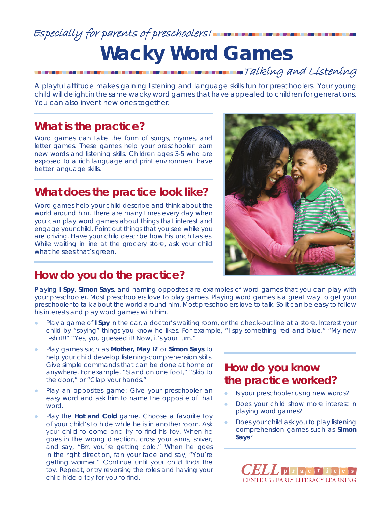## Especially for parents of preschoolers! **The THE THE THE THE THE T Wacky Word Games Talking and Listening**

A playful attitude makes gaining listening and language skills fun for preschoolers. Your young child will delight in the same wacky word games that have appealed to children for generations. You can also invent new ones together.

### **What is the practice?**

Word games can take the form of songs, rhymes, and letter games. These games help your preschooler learn new words and listening skills. Children ages 3-5 who are exposed to a rich language and print environment have better language skills.

### **What does the practice look like?**

Word games help your child describe and think about the world around him. There are many times every day when you can play word games about things that interest and engage your child. Point out things that you see while you are driving. Have your child describe how his lunch tastes. While waiting in line at the grocery store, ask your child what he sees that's green.



## **How do you do the practice?**

Playing *I Spy*, *Simon Says*, and naming opposites are examples of word games that you can play with your preschooler. Most preschoolers love to play games. Playing word games is a great way to get your preschooler to talk about the world around him. Most preschoolers love to talk. So it can be easy to follow his interests and play word games with him.

- Play a game of *I Spy* in the car, a doctor's waiting room, or the check-out line at a store. Interest your child by "spying" things you know he likes. For example, "I spy something red and blue." "My new T-shirt!!" "Yes, you guessed it! Now, it's your turn."
- Play games such as **Mother, May I?** or **Simon Says** to help your child develop listening-comprehension skills. Give simple commands that can be done at home or anywhere. For example, "Stand on one foot," "Skip to the door," or "Clap your hands."
- Play an opposites game: Give your preschooler an easy word and ask him to name the opposite of that word.
- Play the **Hot and Cold** game. Choose a favorite toy of your child's to hide while he is in another room. Ask your child to come and try to find his toy. When he goes in the wrong direction, cross your arms, shiver, and say, "*Brr*, you're getting cold." When he goes in the right direction, fan your face and say, "You're getting warmer." Continue until your child finds the toy. Repeat, or try reversing the roles and having your child hide a toy for you to find.

#### **How do you know the practice worked?**

- Is your preschooler using new words?
- Does your child show more interest in playing word games?
- Does your child ask you to play listening comprehension games such as *Simon Says*?